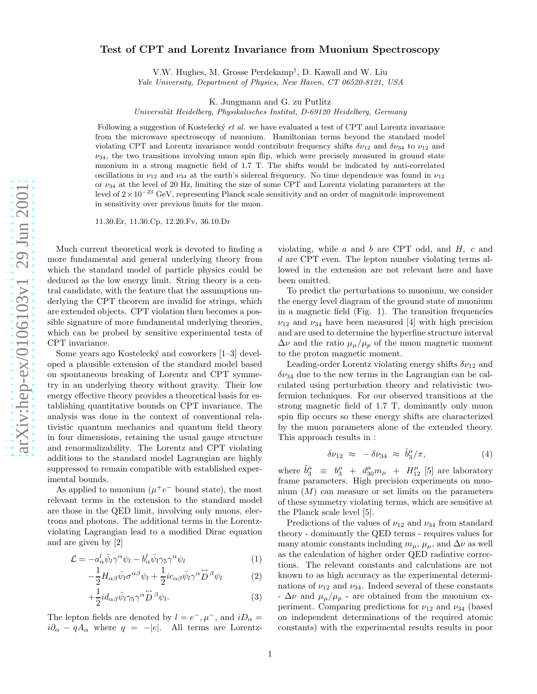## Test of CPT and Lorentz Invariance from Muonium Spectroscopy

V.W. Hughes, M. Grosse Perdekamp † , D. Kawall and W. Liu Yale University, Department of Physics, New Haven, CT 06520-8121, USA

K. Jungmann and G. zu Putlitz

Universität Heidelberg, Physikalisches Institut, D-69120 Heidelberg, Germany

Following a suggestion of Kostelecký et al. we have evaluated a test of CPT and Lorentz invariance from the microwave spectroscopy of muonium. Hamiltonian terms beyond the standard model violating CPT and Lorentz invariance would contribute frequency shifts  $\delta\nu_{12}$  and  $\delta\nu_{34}$  to  $\nu_{12}$  and  $\nu_{34}$ , the two transitions involving muon spin flip, which were precisely measured in ground state muonium in a strong magnetic field of 1.7 T. The shifts would be indicated by anti-correlated oscillations in  $\nu_{12}$  and  $\nu_{34}$  at the earth's sidereal frequency. No time dependence was found in  $\nu_{12}$ or  $\nu_{34}$  at the level of 20 Hz, limiting the size of some CPT and Lorentz violating parameters at the level of  $2 \times 10^{-23}$  GeV, representing Planck scale sensitivity and an order of magnitude improvement in sensitivity over previous limits for the muon.

11.30.Er, 11.30.Cp, 12.20.Fv, 36.10.Dr

Much current theoretical work is devoted to finding a more fundamental and general underlying theory from which the standard model of particle physics could be deduced as the low energy limit. String theory is a central candidate, with the feature that the assumptions underlying the CPT theorem are invalid for strings, which are extended objects. CPT violation then becomes a possible signature of more fundamental underlying theories, which can be probed by sensitive experimental tests of CPT invariance.

Some years ago Kostelecký and coworkers [1–3] developed a plausible extension of the standard model based on spontaneous breaking of Lorentz and CPT symmetry in an underlying theory without gravity. Their low energy effective theory provides a theoretical basis for establishing quantitative bounds on CPT invariance. The analysis was done in the context of conventional relativistic quantum mechanics and quantum field theory in four dimensions, retaining the usual gauge structure and renormalizability. The Lorentz and CPT violating additions to the standard model Lagrangian are highly suppressed to remain compatible with established experimental bounds.

As applied to muonium  $(\mu^+e^-$  bound state), the most relevant terms in the extension to the standard model are those in the QED limit, involving only muons, electrons and photons. The additional terms in the Lorentzviolating Lagrangian lead to a modified Dirac equation and are given by [2]

$$
\mathcal{L} = -a^l_{\alpha} \bar{\psi}_l \gamma^{\alpha} \psi_l - b^l_{\alpha} \bar{\psi}_l \gamma^{\alpha} \psi_l \tag{1}
$$

$$
-\frac{1}{2}H_{\alpha\beta}\bar{\psi}_l\sigma^{\alpha\beta}\psi_l + \frac{1}{2}ic_{\alpha\beta}\bar{\psi}_l\gamma^{\alpha}\overset{\leftrightarrow}{D}^{\beta}\psi_l \tag{2}
$$

$$
+\frac{1}{2}id_{\alpha\beta}\bar{\psi}_l\gamma_5\gamma^{\alpha}\stackrel{\leftrightarrow}{D}\!\!\!\!\!\!\beta\psi_l. \tag{3}
$$

The lepton fields are denoted by  $l = e^-,\mu^-$ , and  $iD_\alpha =$  $i\partial_{\alpha} - qA_{\alpha}$  where  $q = -|e|$ . All terms are Lorentz-

violating, while  $a$  and  $b$  are CPT odd, and  $H$ ,  $c$  and d are CPT even. The lepton number violating terms allowed in the extension are not relevant here and have been omitted.

To predict the perturbations to muonium, we consider the energy level diagram of the ground state of muonium in a magnetic field (Fig. 1). The transition frequencies  $\nu_{12}$  and  $\nu_{34}$  have been measured [4] with high precision and are used to determine the hyperfine structure interval  $\Delta \nu$  and the ratio  $\mu_{\mu}/\mu_{p}$  of the muon magnetic moment to the proton magnetic moment.

Leading-order Lorentz violating energy shifts  $\delta\nu_{12}$  and  $\delta\nu_{34}$  due to the new terms in the Lagrangian can be calculated using perturbation theory and relativistic twofermion techniques. For our observed transitions at the strong magnetic field of 1.7 T, dominantly only muon spin flip occurs so these energy shifts are characterized by the muon parameters alone of the extended theory. This approach results in :

$$
\delta\nu_{12} \approx -\delta\nu_{34} \approx \tilde{b}_3^\mu/\pi, \tag{4}
$$

where  $\tilde{b}_3^{\mu}$  =  $b_3^{\mu}$  +  $d_{30}^{\mu}m_{\mu}$  +  $H_{12}^{\mu}$  [5] are laboratory frame parameters. High precision experiments on muonium  $(M)$  can measure or set limits on the parameters of these symmetry violating terms, which are sensitive at the Planck scale level [5].

Predictions of the values of  $\nu_{12}$  and  $\nu_{34}$  from standard theory - dominantly the QED terms - requires values for many atomic constants including  $m_{\mu}$ ,  $\mu_{\mu}$ , and  $\Delta \nu$  as well as the calculation of higher order QED radiative corrections. The relevant constants and calculations are not known to as high accuracy as the experimental determinations of  $\nu_{12}$  and  $\nu_{34}$ . Indeed several of these constants  $-\Delta\nu$  and  $\mu_{\mu}/\mu_{p}$  - are obtained from the muonium experiment. Comparing predictions for  $\nu_{12}$  and  $\nu_{34}$  (based on independent determinations of the required atomic constants) with the experimental results results in poor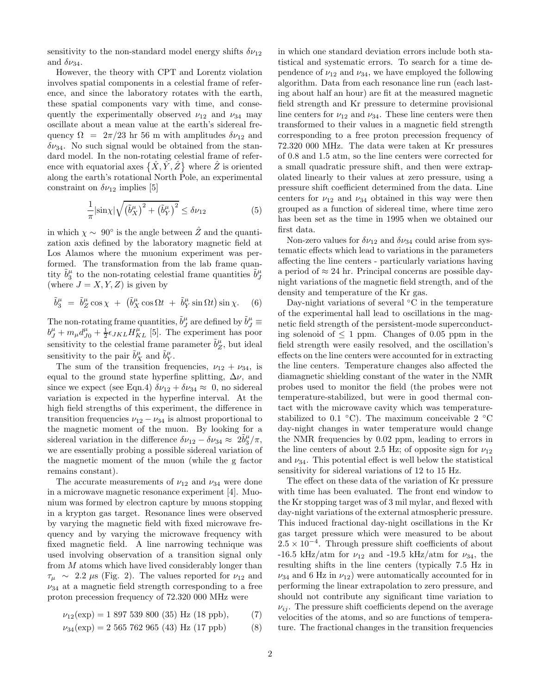sensitivity to the non-standard model energy shifts  $\delta \nu_{12}$ and  $\delta\nu_{34}$ .

However, the theory with CPT and Lorentz violation involves spatial components in a celestial frame of reference, and since the laboratory rotates with the earth, these spatial components vary with time, and consequently the experimentally observed  $\nu_{12}$  and  $\nu_{34}$  may oscillate about a mean value at the earth's sidereal frequency  $\Omega = 2\pi/23$  hr 56 m with amplitudes  $\delta\nu_{12}$  and  $\delta\nu_{34}$ . No such signal would be obtained from the standard model. In the non-rotating celestial frame of reference with equatorial axes  $\{\hat{X}, \hat{Y}, \hat{Z}\}$  where  $\hat{Z}$  is oriented along the earth's rotational North Pole, an experimental constraint on  $\delta\nu_{12}$  implies [5]

$$
\frac{1}{\pi}|\sin\chi|\sqrt{\left(\tilde{b}_X^{\mu}\right)^2+\left(\tilde{b}_Y^{\mu}\right)^2} \leq \delta\nu_{12} \tag{5}
$$

in which  $\chi \sim 90^{\circ}$  is the angle between  $\hat{Z}$  and the quantization axis defined by the laboratory magnetic field at Los Alamos where the muonium experiment was performed. The transformation from the lab frame quantity  $\tilde{b}_3^{\mu}$  to the non-rotating celestial frame quantities  $\tilde{b}_J^{\mu}$ (where  $J = X, Y, Z$ ) is given by

$$
\tilde{b}_3^{\mu} = \tilde{b}_Z^{\mu} \cos \chi + (\tilde{b}_X^{\mu} \cos \Omega t + \tilde{b}_Y^{\mu} \sin \Omega t) \sin \chi. \quad (6)
$$

The non-rotating frame quantities,  $\tilde{b}^{\mu}_{J}$  are defined by  $\tilde{b}^{\mu}_{J} \equiv$  $b_J^{\mu} + m_{\mu}d_{J0}^{\mu} + \frac{1}{2}\epsilon_{JKL}H_{KL}^{\mu}$  [5]. The experiment has poor sensitivity to the celestial frame parameter  $\tilde{b}^{\mu}_{Z}$ , but ideal sensitivity to the pair  $\tilde{b}^{\mu}_X$  and  $\tilde{b}^{\mu}_Y$ .

The sum of the transition frequencies,  $\nu_{12} + \nu_{34}$ , is equal to the ground state hyperfine splitting,  $\Delta \nu$ , and since we expect (see Eqn.4)  $\delta \nu_{12} + \delta \nu_{34} \approx 0$ , no sidereal variation is expected in the hyperfine interval. At the high field strengths of this experiment, the difference in transition frequencies  $\nu_{12} - \nu_{34}$  is almost proportional to the magnetic moment of the muon. By looking for a sidereal variation in the difference  $\delta \nu_{12} - \delta \nu_{34} \approx 2 \tilde{b}_3^{\mu}/\pi$ , we are essentially probing a possible sidereal variation of the magnetic moment of the muon (while the g factor remains constant).

The accurate measurements of  $\nu_{12}$  and  $\nu_{34}$  were done in a microwave magnetic resonance experiment [4]. Muonium was formed by electron capture by muons stopping in a krypton gas target. Resonance lines were observed by varying the magnetic field with fixed microwave frequency and by varying the microwave frequency with fixed magnetic field. A line narrowing technique was used involving observation of a transition signal only from  $M$  atoms which have lived considerably longer than  $\tau_{\mu} \sim 2.2 \mu s$  (Fig. 2). The values reported for  $\nu_{12}$  and  $\nu_{34}$  at a magnetic field strength corresponding to a free proton precession frequency of 72.320 000 MHz were

$$
\nu_{12}(\exp) = 1\ 897\ 539\ 800\ (35)\ \text{Hz (18 ppb)},\tag{7}
$$

$$
\nu_{34}(\exp) = 2\ 565\ 762\ 965\ (43)\ Hz\ (17\ ppb) \tag{8}
$$

in which one standard deviation errors include both statistical and systematic errors. To search for a time dependence of  $\nu_{12}$  and  $\nu_{34}$ , we have employed the following algorithm. Data from each resonance line run (each lasting about half an hour) are fit at the measured magnetic field strength and Kr pressure to determine provisional line centers for  $\nu_{12}$  and  $\nu_{34}$ . These line centers were then transformed to their values in a magnetic field strength corresponding to a free proton precession frequency of 72.320 000 MHz. The data were taken at Kr pressures of 0.8 and 1.5 atm, so the line centers were corrected for a small quadratic pressure shift, and then were extrapolated linearly to their values at zero pressure, using a pressure shift coefficient determined from the data. Line centers for  $\nu_{12}$  and  $\nu_{34}$  obtained in this way were then grouped as a function of sidereal time, where time zero has been set as the time in 1995 when we obtained our first data.

Non-zero values for  $\delta\nu_{12}$  and  $\delta\nu_{34}$  could arise from systematic effects which lead to variations in the parameters affecting the line centers - particularly variations having a period of  $\approx 24$  hr. Principal concerns are possible daynight variations of the magnetic field strength, and of the density and temperature of the Kr gas.

Day-night variations of several ◦C in the temperature of the experimental hall lead to oscillations in the magnetic field strength of the persistent-mode superconducting solenoid of  $\leq 1$  ppm. Changes of 0.05 ppm in the field strength were easily resolved, and the oscillation's effects on the line centers were accounted for in extracting the line centers. Temperature changes also affected the diamagnetic shielding constant of the water in the NMR probes used to monitor the field (the probes were not temperature-stabilized, but were in good thermal contact with the microwave cavity which was temperaturestabilized to 0.1  $\degree$ C). The maximum conceivable 2  $\degree$ C day-night changes in water temperature would change the NMR frequencies by 0.02 ppm, leading to errors in the line centers of about 2.5 Hz; of opposite sign for  $\nu_{12}$ and  $\nu_{34}$ . This potential effect is well below the statistical sensitivity for sidereal variations of 12 to 15 Hz.

The effect on these data of the variation of Kr pressure with time has been evaluated. The front end window to the Kr stopping target was of 3 mil mylar, and flexed with day-night variations of the external atmospheric pressure. This induced fractional day-night oscillations in the Kr gas target pressure which were measured to be about  $2.5 \times 10^{-4}$ . Through pressure shift coefficients of about -16.5 kHz/atm for  $\nu_{12}$  and -19.5 kHz/atm for  $\nu_{34}$ , the resulting shifts in the line centers (typically 7.5 Hz in  $\nu_{34}$  and 6 Hz in  $\nu_{12}$ ) were automatically accounted for in performing the linear extrapolation to zero pressure, and should not contribute any significant time variation to  $\nu_{ij}$ . The pressure shift coefficients depend on the average velocities of the atoms, and so are functions of temperature. The fractional changes in the transition frequencies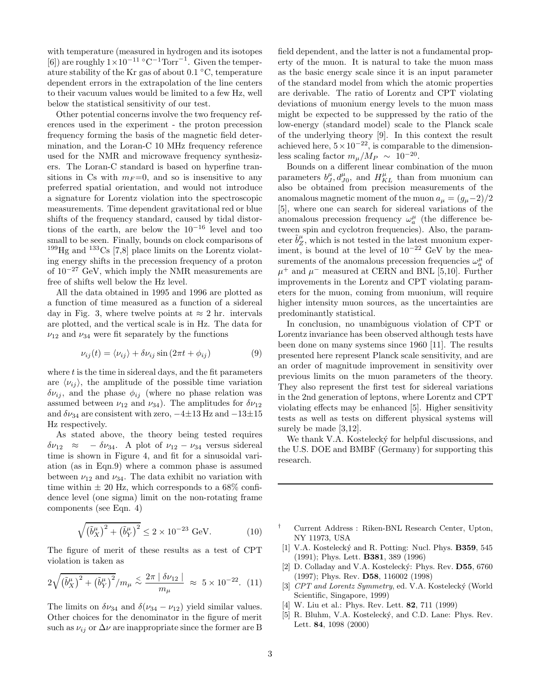with temperature (measured in hydrogen and its isotopes [6]) are roughly  $1 \times 10^{-11}$  °C<sup>-1</sup>Torr<sup>-1</sup>. Given the temperature stability of the Kr gas of about 0.1 ◦C, temperature dependent errors in the extrapolation of the line centers to their vacuum values would be limited to a few Hz, well below the statistical sensitivity of our test.

Other potential concerns involve the two frequency references used in the experiment - the proton precession frequency forming the basis of the magnetic field determination, and the Loran-C 10 MHz frequency reference used for the NMR and microwave frequency synthesizers. The Loran-C standard is based on hyperfine transitions in Cs with  $m_F=0$ , and so is insensitive to any preferred spatial orientation, and would not introduce a signature for Lorentz violation into the spectroscopic measurements. Time dependent gravitational red or blue shifts of the frequency standard, caused by tidal distortions of the earth, are below the  $10^{-16}$  level and too small to be seen. Finally, bounds on clock comparisons of  $199$ Hg and  $133$ Cs [7,8] place limits on the Lorentz violating energy shifts in the precession frequency of a proton of  $10^{-27}$  GeV, which imply the NMR measurements are free of shifts well below the Hz level.

All the data obtained in 1995 and 1996 are plotted as a function of time measured as a function of a sidereal day in Fig. 3, where twelve points at  $\approx 2$  hr. intervals are plotted, and the vertical scale is in Hz. The data for  $\nu_{12}$  and  $\nu_{34}$  were fit separately by the functions

$$
\nu_{ij}(t) = \langle \nu_{ij} \rangle + \delta \nu_{ij} \sin(2\pi t + \phi_{ij}) \tag{9}
$$

where  $t$  is the time in sidereal days, and the fit parameters are  $\langle \nu_{ii} \rangle$ , the amplitude of the possible time variation  $\delta \nu_{ij}$ , and the phase  $\phi_{ij}$  (where no phase relation was assumed between  $\nu_{12}$  and  $\nu_{34}$ ). The amplitudes for  $\delta\nu_{12}$ and  $\delta\nu_{34}$  are consistent with zero,  $-4\pm13$  Hz and  $-13\pm15$ Hz respectively.

As stated above, the theory being tested requires  $\delta\nu_{12} \approx -\delta\nu_{34}$ . A plot of  $\nu_{12} - \nu_{34}$  versus sidereal time is shown in Figure 4, and fit for a sinusoidal variation (as in Eqn.9) where a common phase is assumed between  $\nu_{12}$  and  $\nu_{34}$ . The data exhibit no variation with time within  $\pm 20$  Hz, which corresponds to a 68% confidence level (one sigma) limit on the non-rotating frame components (see Eqn. 4)

$$
\sqrt{\left(\tilde{b}_X^{\mu}\right)^2 + \left(\tilde{b}_Y^{\mu}\right)^2} \le 2 \times 10^{-23} \text{ GeV}.
$$
 (10)

The figure of merit of these results as a test of CPT violation is taken as

$$
2\sqrt{\left(\tilde{b}_{X}^{\mu}\right)^{2} + \left(\tilde{b}_{Y}^{\mu}\right)^{2}}/m_{\mu} \lesssim \frac{2\pi \left|\delta\nu_{12}\right|}{m_{\mu}} \approx 5 \times 10^{-22}. (11)
$$

The limits on  $\delta\nu_{34}$  and  $\delta(\nu_{34} - \nu_{12})$  yield similar values. Other choices for the denominator in the figure of merit such as  $\nu_{ij}$  or  $\Delta \nu$  are inappropriate since the former are B

field dependent, and the latter is not a fundamental property of the muon. It is natural to take the muon mass as the basic energy scale since it is an input parameter of the standard model from which the atomic properties are derivable. The ratio of Lorentz and CPT violating deviations of muonium energy levels to the muon mass might be expected to be suppressed by the ratio of the low-energy (standard model) scale to the Planck scale of the underlying theory [9]. In this context the result achieved here,  $5 \times 10^{-22}$ , is comparable to the dimensionless scaling factor  $m_{\mu}/M_P \sim 10^{-20}$ .

Bounds on a different linear combination of the muon parameters  $b_J^{\mu}, d_{J0}^{\mu}$ , and  $H_{KL}^{\mu}$  than from muonium can also be obtained from precision measurements of the anomalous magnetic moment of the muon  $a_{\mu} = (g_{\mu} - 2)/2$ [5], where one can search for sidereal variations of the anomalous precession frequency  $\omega_a^{\mu}$  (the difference between spin and cyclotron frequencies). Also, the parameter  $\tilde{b}^{\mu}_{Z}$ , which is not tested in the latest muonium experiment, is bound at the level of  $10^{-22}$  GeV by the measurements of the anomalous precession frequencies  $\omega_a^{\mu}$  of  $\mu^+$  and  $\mu^-$  measured at CERN and BNL [5,10]. Further improvements in the Lorentz and CPT violating parameters for the muon, coming from muonium, will require higher intensity muon sources, as the uncertainties are predominantly statistical.

In conclusion, no unambiguous violation of CPT or Lorentz invariance has been observed although tests have been done on many systems since 1960 [11]. The results presented here represent Planck scale sensitivity, and are an order of magnitude improvement in sensitivity over previous limits on the muon parameters of the theory. They also represent the first test for sidereal variations in the 2nd generation of leptons, where Lorentz and CPT violating effects may be enhanced [5]. Higher sensitivity tests as well as tests on different physical systems will surely be made [3,12].

We thank V.A. Kostelecký for helpful discussions, and the U.S. DOE and BMBF (Germany) for supporting this research.

- † Current Address : Riken-BNL Research Center, Upton, NY 11973, USA
- [1] V.A. Kostelecký and R. Potting: Nucl. Phys. **B359**, 545 (1991); Phys. Lett. B381, 389 (1996)
- [2] D. Colladay and V.A. Kostelecký: Phys. Rev. D55, 6760 (1997); Phys. Rev. D58, 116002 (1998)
- [3] CPT and Lorentz Symmetry, ed. V.A. Kostelecký (World Scientific, Singapore, 1999)
- W. Liu et al.: Phys. Rev. Lett. **82**, 711 (1999)
- [5] R. Bluhm, V.A. Kostelecký, and C.D. Lane: Phys. Rev. Lett. 84, 1098 (2000)